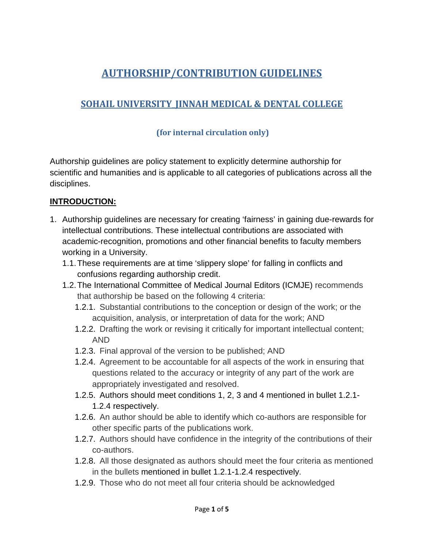# **AUTHORSHIP/CONTRIBUTION GUIDELINES**

## **SOHAIL UNIVERSITY\_JINNAH MEDICAL & DENTAL COLLEGE**

#### **(for internal circulation only)**

Authorship guidelines are policy statement to explicitly determine authorship for scientific and humanities and is applicable to all categories of publications across all the disciplines.

#### **INTRODUCTION:**

- 1. Authorship guidelines are necessary for creating 'fairness' in gaining due-rewards for intellectual contributions. These intellectual contributions are associated with academic-recognition, promotions and other financial benefits to faculty members working in a University.
	- 1.1.These requirements are at time 'slippery slope' for falling in conflicts and confusions regarding authorship credit.
	- 1.2.The International Committee of Medical Journal Editors (ICMJE) recommends that authorship be based on the following 4 criteria:
		- 1.2.1. Substantial contributions to the conception or design of the work; or the acquisition, analysis, or interpretation of data for the work; AND
		- 1.2.2. Drafting the work or revising it critically for important intellectual content; AND
		- 1.2.3. Final approval of the version to be published; AND
		- 1.2.4. Agreement to be accountable for all aspects of the work in ensuring that questions related to the accuracy or integrity of any part of the work are appropriately investigated and resolved.
		- 1.2.5. Authors should meet conditions 1, 2, 3 and 4 mentioned in bullet 1.2.1- 1.2.4 respectively.
		- 1.2.6. An author should be able to identify which co-authors are responsible for other specific parts of the publications work.
		- 1.2.7. Authors should have confidence in the integrity of the contributions of their co-authors.
		- 1.2.8. All those designated as authors should meet the four criteria as mentioned in the bullets mentioned in bullet 1.2.1-1.2.4 respectively.
		- 1.2.9. Those who do not meet all four criteria should be acknowledged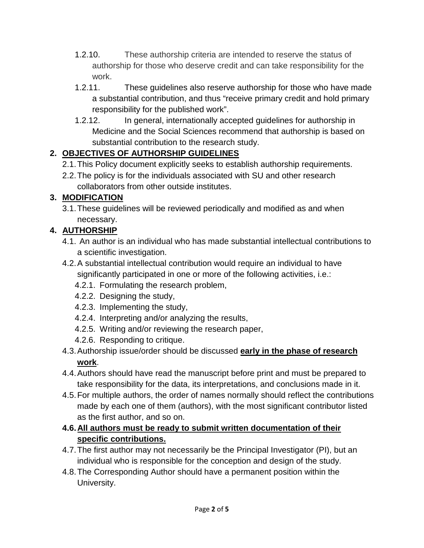- 1.2.10. These authorship criteria are intended to reserve the status of authorship for those who deserve credit and can take responsibility for the work.
- 1.2.11. These guidelines also reserve authorship for those who have made a substantial contribution, and thus "receive primary credit and hold primary responsibility for the published work".
- 1.2.12. In general, internationally accepted guidelines for authorship in Medicine and the Social Sciences recommend that authorship is based on substantial contribution to the research study.

## **2. OBJECTIVES OF AUTHORSHIP GUIDELINES**

- 2.1.This Policy document explicitly seeks to establish authorship requirements.
- 2.2.The policy is for the individuals associated with SU and other research collaborators from other outside institutes.

## **3. MODIFICATION**

3.1.These guidelines will be reviewed periodically and modified as and when necessary.

## **4. AUTHORSHIP**

- 4.1. An author is an individual who has made substantial intellectual contributions to a scientific investigation.
- 4.2.A substantial intellectual contribution would require an individual to have significantly participated in one or more of the following activities, i.e.:
	- 4.2.1. Formulating the research problem,
	- 4.2.2. Designing the study,
	- 4.2.3. Implementing the study,
	- 4.2.4. Interpreting and/or analyzing the results,
	- 4.2.5. Writing and/or reviewing the research paper,
	- 4.2.6. Responding to critique.
- 4.3.Authorship issue/order should be discussed **early in the phase of research work**.
- 4.4.Authors should have read the manuscript before print and must be prepared to take responsibility for the data, its interpretations, and conclusions made in it.
- 4.5.For multiple authors, the order of names normally should reflect the contributions made by each one of them (authors), with the most significant contributor listed as the first author, and so on.
- **4.6.All authors must be ready to submit written documentation of their specific contributions.**
- 4.7.The first author may not necessarily be the Principal Investigator (PI), but an individual who is responsible for the conception and design of the study.
- 4.8.The Corresponding Author should have a permanent position within the University.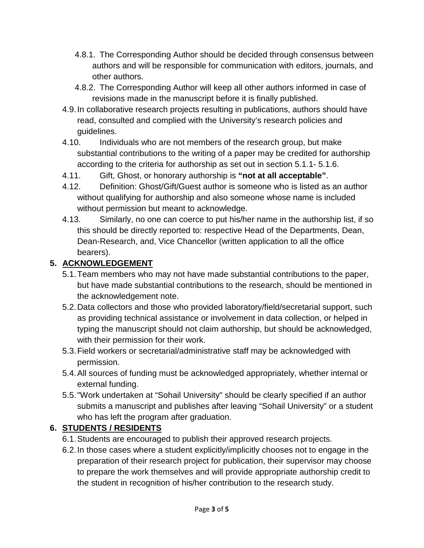- 4.8.1. The Corresponding Author should be decided through consensus between authors and will be responsible for communication with editors, journals, and other authors.
- 4.8.2. The Corresponding Author will keep all other authors informed in case of revisions made in the manuscript before it is finally published.
- 4.9.In collaborative research projects resulting in publications, authors should have read, consulted and complied with the University's research policies and guidelines.
- 4.10. Individuals who are not members of the research group, but make substantial contributions to the writing of a paper may be credited for authorship according to the criteria for authorship as set out in section 5.1.1- 5.1.6.
- 4.11. Gift, Ghost, or honorary authorship is **"not at all acceptable"**.
- 4.12. Definition: Ghost/Gift/Guest author is someone who is listed as an author without qualifying for authorship and also someone whose name is included without permission but meant to acknowledge.
- 4.13. Similarly, no one can coerce to put his/her name in the authorship list, if so this should be directly reported to: respective Head of the Departments, Dean, Dean-Research, and, Vice Chancellor (written application to all the office bearers).

#### **5. ACKNOWLEDGEMENT**

- 5.1.Team members who may not have made substantial contributions to the paper, but have made substantial contributions to the research, should be mentioned in the acknowledgement note.
- 5.2.Data collectors and those who provided laboratory/field/secretarial support, such as providing technical assistance or involvement in data collection, or helped in typing the manuscript should not claim authorship, but should be acknowledged, with their permission for their work.
- 5.3.Field workers or secretarial/administrative staff may be acknowledged with permission.
- 5.4.All sources of funding must be acknowledged appropriately, whether internal or external funding.
- 5.5."Work undertaken at "Sohail University" should be clearly specified if an author submits a manuscript and publishes after leaving "Sohail University" or a student who has left the program after graduation.

## **6. STUDENTS / RESIDENTS**

- 6.1.Students are encouraged to publish their approved research projects.
- 6.2.In those cases where a student explicitly/implicitly chooses not to engage in the preparation of their research project for publication, their supervisor may choose to prepare the work themselves and will provide appropriate authorship credit to the student in recognition of his/her contribution to the research study.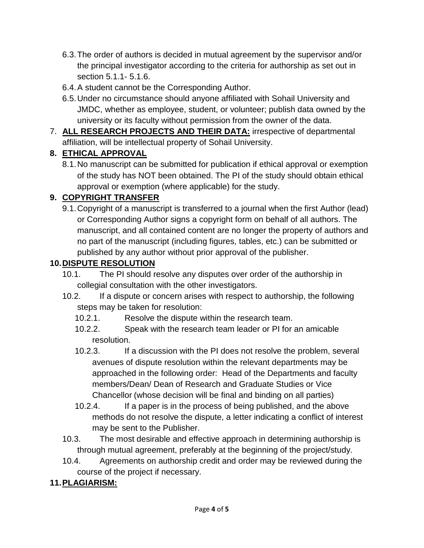- 6.3.The order of authors is decided in mutual agreement by the supervisor and/or the principal investigator according to the criteria for authorship as set out in section 5.1.1- 5.1.6.
- 6.4.A student cannot be the Corresponding Author.
- 6.5.Under no circumstance should anyone affiliated with Sohail University and JMDC, whether as employee, student, or volunteer; publish data owned by the university or its faculty without permission from the owner of the data.
- 7. **ALL RESEARCH PROJECTS AND THEIR DATA:** irrespective of departmental affiliation, will be intellectual property of Sohail University.

### **8. ETHICAL APPROVAL**

8.1.No manuscript can be submitted for publication if ethical approval or exemption of the study has NOT been obtained. The PI of the study should obtain ethical approval or exemption (where applicable) for the study.

## **9. COPYRIGHT TRANSFER**

9.1.Copyright of a manuscript is transferred to a journal when the first Author (lead) or Corresponding Author signs a copyright form on behalf of all authors. The manuscript, and all contained content are no longer the property of authors and no part of the manuscript (including figures, tables, etc.) can be submitted or published by any author without prior approval of the publisher.

#### **10.DISPUTE RESOLUTION**

- 10.1. The PI should resolve any disputes over order of the authorship in collegial consultation with the other investigators.
- 10.2. If a dispute or concern arises with respect to authorship, the following steps may be taken for resolution:
	- 10.2.1. Resolve the dispute within the research team.
	- 10.2.2. Speak with the research team leader or PI for an amicable resolution.
	- 10.2.3. If a discussion with the PI does not resolve the problem, several avenues of dispute resolution within the relevant departments may be approached in the following order: Head of the Departments and faculty members/Dean/ Dean of Research and Graduate Studies or Vice Chancellor (whose decision will be final and binding on all parties)
	- 10.2.4. If a paper is in the process of being published, and the above methods do not resolve the dispute, a letter indicating a conflict of interest may be sent to the Publisher.
- 10.3. The most desirable and effective approach in determining authorship is through mutual agreement, preferably at the beginning of the project/study.
- 10.4. Agreements on authorship credit and order may be reviewed during the course of the project if necessary.

## **11.PLAGIARISM:**